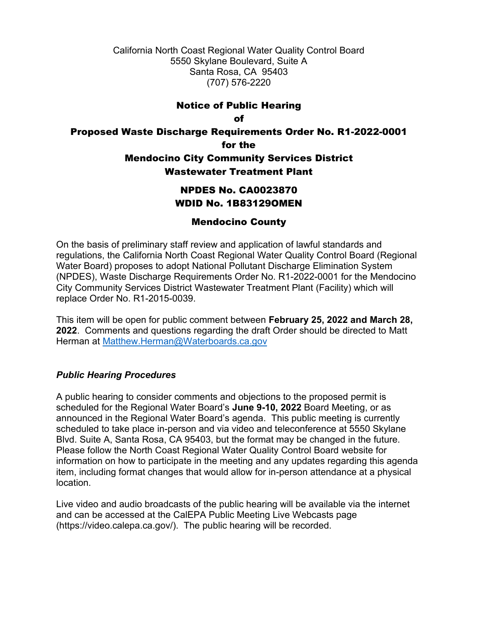California North Coast Regional Water Quality Control Board 5550 Skylane Boulevard, Suite A Santa Rosa, CA 95403 (707) 576-2220

# Notice of Public Hearing

#### of

# Proposed Waste Discharge Requirements Order No. R1-2022-0001 for the Mendocino City Community Services District Wastewater Treatment Plant

# NPDES No. CA0023870 WDID No. 1B83129OMEN

## Mendocino County

On the basis of preliminary staff review and application of lawful standards and regulations, the California North Coast Regional Water Quality Control Board (Regional Water Board) proposes to adopt National Pollutant Discharge Elimination System (NPDES), Waste Discharge Requirements Order No. R1-2022-0001 for the Mendocino City Community Services District Wastewater Treatment Plant (Facility) which will replace Order No. R1-2015-0039.

This item will be open for public comment between **February 25, 2022 and March 28, 2022**. Comments and questions regarding the draft Order should be directed to Matt Herman at [Matthew.Herman@Waterboards.ca.gov](mailto:Matthew.Herman@Waterboards.ca.gov)

### *Public Hearing Procedures*

A public hearing to consider comments and objections to the proposed permit is scheduled for the Regional Water Board's **June 9-10, 2022** Board Meeting, or as announced in the Regional Water Board's agenda. This public meeting is currently scheduled to take place in-person and via video and teleconference at 5550 Skylane Blvd. Suite A, Santa Rosa, CA 95403, but the format may be changed in the future. Please follow the North Coast Regional Water Quality Control Board website for information on how to participate in the meeting and any updates regarding this agenda item, including format changes that would allow for in-person attendance at a physical location.

Live video and audio broadcasts of the public hearing will be available via the internet and can be accessed at the CalEPA Public Meeting Live Webcasts page (https://video.calepa.ca.gov/). The public hearing will be recorded.